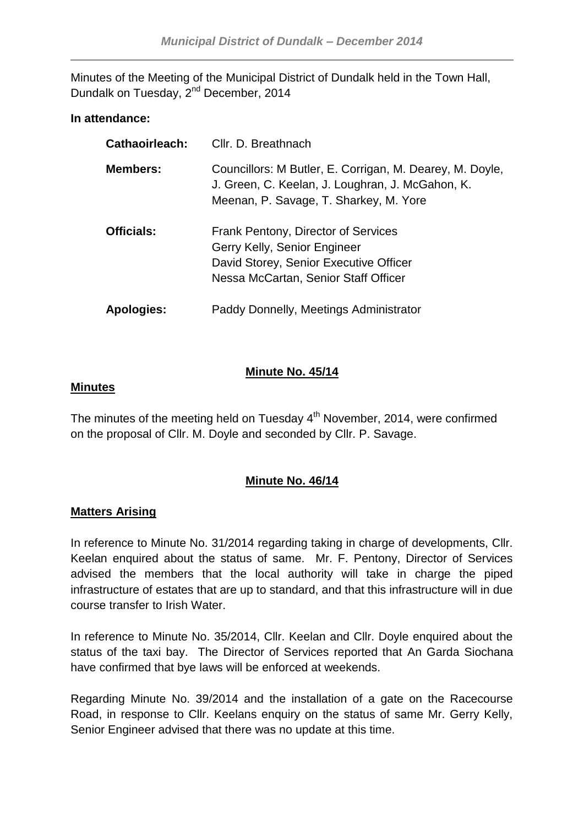Minutes of the Meeting of the Municipal District of Dundalk held in the Town Hall, Dundalk on Tuesday, 2<sup>nd</sup> December, 2014

## **In attendance:**

| Cathaoirleach:    | Cllr. D. Breathnach                                                                                                                                    |
|-------------------|--------------------------------------------------------------------------------------------------------------------------------------------------------|
| <b>Members:</b>   | Councillors: M Butler, E. Corrigan, M. Dearey, M. Doyle,<br>J. Green, C. Keelan, J. Loughran, J. McGahon, K.<br>Meenan, P. Savage, T. Sharkey, M. Yore |
| <b>Officials:</b> | Frank Pentony, Director of Services<br>Gerry Kelly, Senior Engineer<br>David Storey, Senior Executive Officer<br>Nessa McCartan, Senior Staff Officer  |
| Apologies:        | Paddy Donnelly, Meetings Administrator                                                                                                                 |

## **Minute No. 45/14**

## **Minutes**

The minutes of the meeting held on Tuesday  $4<sup>th</sup>$  November, 2014, were confirmed on the proposal of Cllr. M. Doyle and seconded by Cllr. P. Savage.

# **Minute No. 46/14**

# **Matters Arising**

In reference to Minute No. 31/2014 regarding taking in charge of developments, Cllr. Keelan enquired about the status of same. Mr. F. Pentony, Director of Services advised the members that the local authority will take in charge the piped infrastructure of estates that are up to standard, and that this infrastructure will in due course transfer to Irish Water.

In reference to Minute No. 35/2014, Cllr. Keelan and Cllr. Doyle enquired about the status of the taxi bay. The Director of Services reported that An Garda Siochana have confirmed that bye laws will be enforced at weekends.

Regarding Minute No. 39/2014 and the installation of a gate on the Racecourse Road, in response to Cllr. Keelans enquiry on the status of same Mr. Gerry Kelly, Senior Engineer advised that there was no update at this time.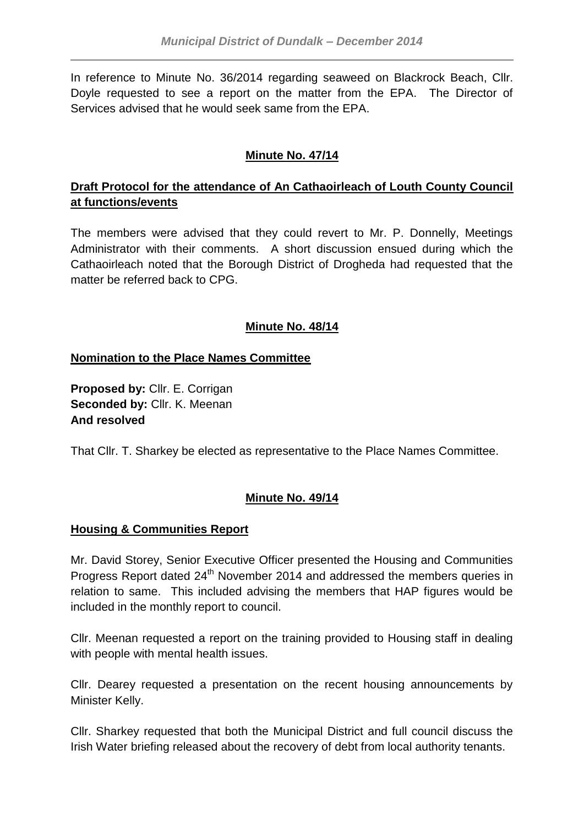In reference to Minute No. 36/2014 regarding seaweed on Blackrock Beach, Cllr. Doyle requested to see a report on the matter from the EPA. The Director of Services advised that he would seek same from the EPA.

# **Minute No. 47/14**

# **Draft Protocol for the attendance of An Cathaoirleach of Louth County Council at functions/events**

The members were advised that they could revert to Mr. P. Donnelly, Meetings Administrator with their comments. A short discussion ensued during which the Cathaoirleach noted that the Borough District of Drogheda had requested that the matter be referred back to CPG.

# **Minute No. 48/14**

# **Nomination to the Place Names Committee**

**Proposed by:** Cllr. E. Corrigan **Seconded by:** Cllr. K. Meenan **And resolved**

That Cllr. T. Sharkey be elected as representative to the Place Names Committee.

# **Minute No. 49/14**

# **Housing & Communities Report**

Mr. David Storey, Senior Executive Officer presented the Housing and Communities Progress Report dated 24<sup>th</sup> November 2014 and addressed the members queries in relation to same. This included advising the members that HAP figures would be included in the monthly report to council.

Cllr. Meenan requested a report on the training provided to Housing staff in dealing with people with mental health issues.

Cllr. Dearey requested a presentation on the recent housing announcements by Minister Kelly.

Cllr. Sharkey requested that both the Municipal District and full council discuss the Irish Water briefing released about the recovery of debt from local authority tenants.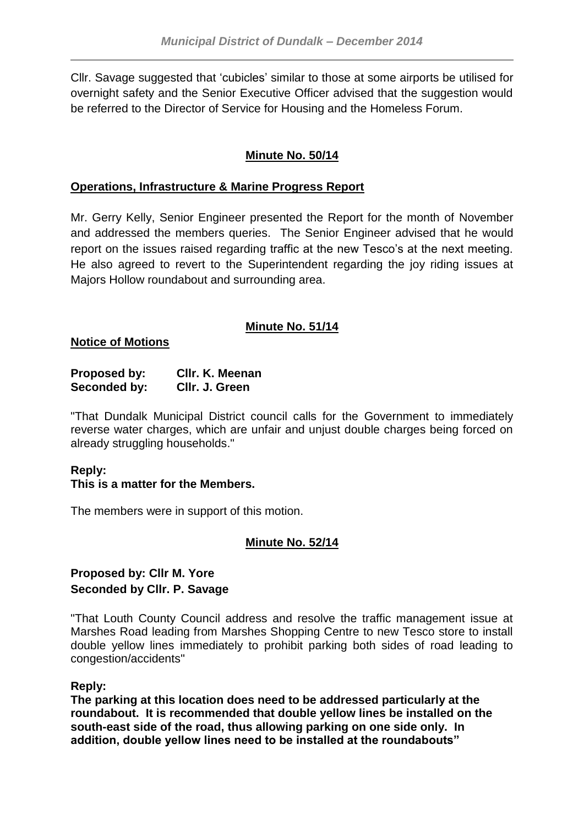Cllr. Savage suggested that 'cubicles' similar to those at some airports be utilised for overnight safety and the Senior Executive Officer advised that the suggestion would be referred to the Director of Service for Housing and the Homeless Forum.

# **Minute No. 50/14**

## **Operations, Infrastructure & Marine Progress Report**

Mr. Gerry Kelly, Senior Engineer presented the Report for the month of November and addressed the members queries. The Senior Engineer advised that he would report on the issues raised regarding traffic at the new Tesco's at the next meeting. He also agreed to revert to the Superintendent regarding the joy riding issues at Majors Hollow roundabout and surrounding area.

# **Minute No. 51/14**

**Notice of Motions**

| <b>Proposed by:</b> | CIIr. K. Meenan |
|---------------------|-----------------|
| Seconded by:        | Cllr. J. Green  |

"That Dundalk Municipal District council calls for the Government to immediately reverse water charges, which are unfair and unjust double charges being forced on already struggling households."

# **Reply:**

## **This is a matter for the Members.**

The members were in support of this motion.

## **Minute No. 52/14**

## **Proposed by: Cllr M. Yore Seconded by Cllr. P. Savage**

"That Louth County Council address and resolve the traffic management issue at Marshes Road leading from Marshes Shopping Centre to new Tesco store to install double yellow lines immediately to prohibit parking both sides of road leading to congestion/accidents"

## **Reply:**

**The parking at this location does need to be addressed particularly at the roundabout. It is recommended that double yellow lines be installed on the south-east side of the road, thus allowing parking on one side only. In addition, double yellow lines need to be installed at the roundabouts"**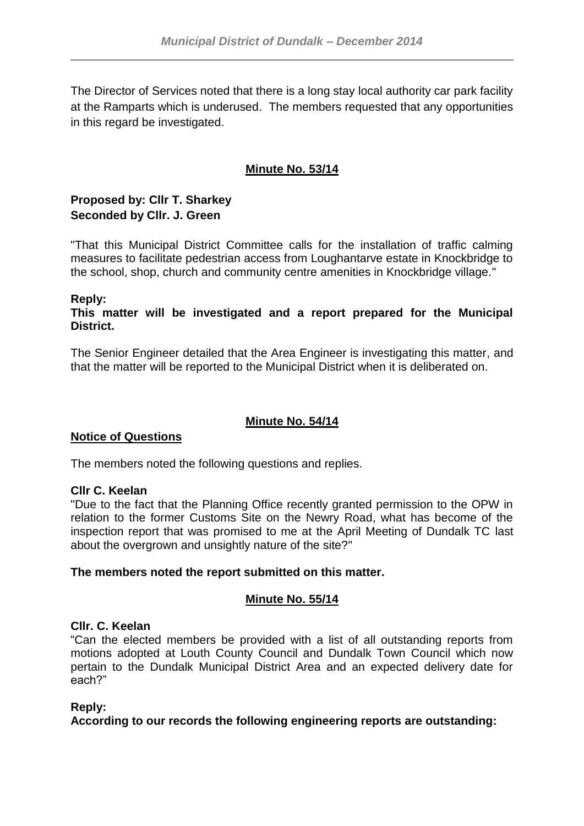The Director of Services noted that there is a long stay local authority car park facility at the Ramparts which is underused. The members requested that any opportunities in this regard be investigated.

# **Minute No. 53/14**

# **Proposed by: Cllr T. Sharkey Seconded by Cllr. J. Green**

"That this Municipal District Committee calls for the installation of traffic calming measures to facilitate pedestrian access from Loughantarve estate in Knockbridge to the school, shop, church and community centre amenities in Knockbridge village."

## **Reply:**

**This matter will be investigated and a report prepared for the Municipal District.**

The Senior Engineer detailed that the Area Engineer is investigating this matter, and that the matter will be reported to the Municipal District when it is deliberated on.

# **Minute No. 54/14**

## **Notice of Questions**

The members noted the following questions and replies.

#### **Cllr C. Keelan**

"Due to the fact that the Planning Office recently granted permission to the OPW in relation to the former Customs Site on the Newry Road, what has become of the inspection report that was promised to me at the April Meeting of Dundalk TC last about the overgrown and unsightly nature of the site?"

## **The members noted the report submitted on this matter.**

## **Minute No. 55/14**

#### **Cllr. C. Keelan**

"Can the elected members be provided with a list of all outstanding reports from motions adopted at Louth County Council and Dundalk Town Council which now pertain to the Dundalk Municipal District Area and an expected delivery date for each?"

#### **Reply:**

**According to our records the following engineering reports are outstanding:**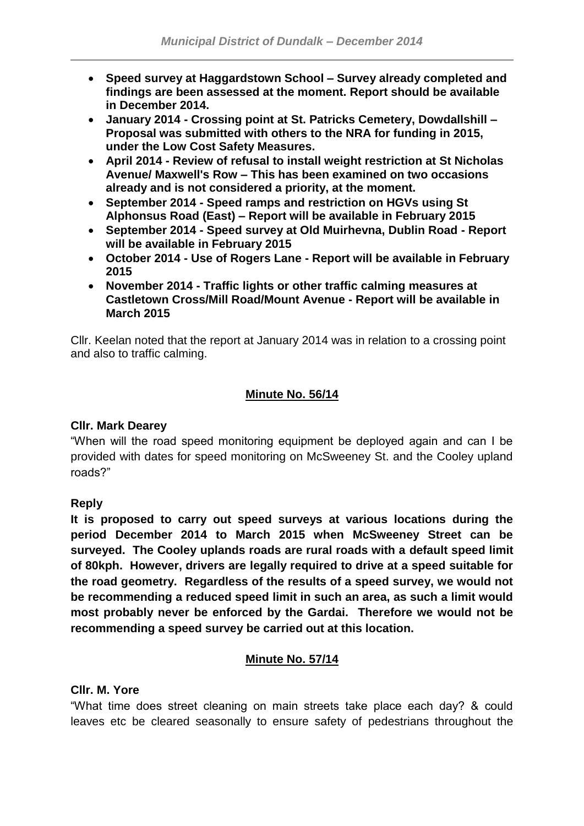- **Speed survey at Haggardstown School – Survey already completed and findings are been assessed at the moment. Report should be available in December 2014.**
- **January 2014 - Crossing point at St. Patricks Cemetery, Dowdallshill – Proposal was submitted with others to the NRA for funding in 2015, under the Low Cost Safety Measures.**
- **April 2014 - Review of refusal to install weight restriction at St Nicholas Avenue/ Maxwell's Row – This has been examined on two occasions already and is not considered a priority, at the moment.**
- **September 2014 - Speed ramps and restriction on HGVs using St Alphonsus Road (East) – Report will be available in February 2015**
- **September 2014 - Speed survey at Old Muirhevna, Dublin Road - Report will be available in February 2015**
- **October 2014 - Use of Rogers Lane - Report will be available in February 2015**
- **November 2014 - Traffic lights or other traffic calming measures at Castletown Cross/Mill Road/Mount Avenue - Report will be available in March 2015**

Cllr. Keelan noted that the report at January 2014 was in relation to a crossing point and also to traffic calming.

# **Minute No. 56/14**

# **Cllr. Mark Dearey**

"When will the road speed monitoring equipment be deployed again and can I be provided with dates for speed monitoring on McSweeney St. and the Cooley upland roads?"

# **Reply**

**It is proposed to carry out speed surveys at various locations during the period December 2014 to March 2015 when McSweeney Street can be surveyed. The Cooley uplands roads are rural roads with a default speed limit of 80kph. However, drivers are legally required to drive at a speed suitable for the road geometry. Regardless of the results of a speed survey, we would not be recommending a reduced speed limit in such an area, as such a limit would most probably never be enforced by the Gardai. Therefore we would not be recommending a speed survey be carried out at this location.**

# **Minute No. 57/14**

## **Cllr. M. Yore**

"What time does street cleaning on main streets take place each day? & could leaves etc be cleared seasonally to ensure safety of pedestrians throughout the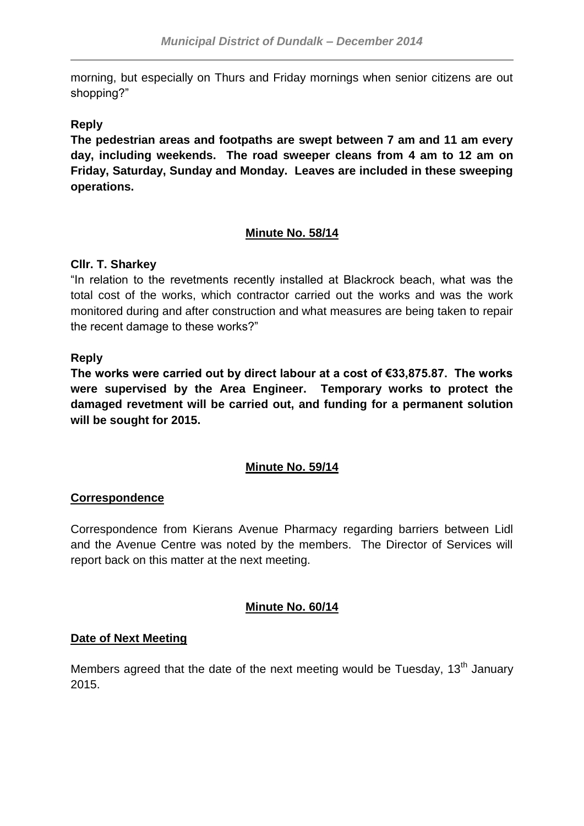morning, but especially on Thurs and Friday mornings when senior citizens are out shopping?"

## **Reply**

**The pedestrian areas and footpaths are swept between 7 am and 11 am every day, including weekends. The road sweeper cleans from 4 am to 12 am on Friday, Saturday, Sunday and Monday. Leaves are included in these sweeping operations.**

# **Minute No. 58/14**

## **Cllr. T. Sharkey**

"In relation to the revetments recently installed at Blackrock beach, what was the total cost of the works, which contractor carried out the works and was the work monitored during and after construction and what measures are being taken to repair the recent damage to these works?"

## **Reply**

**The works were carried out by direct labour at a cost of €33,875.87. The works were supervised by the Area Engineer. Temporary works to protect the damaged revetment will be carried out, and funding for a permanent solution will be sought for 2015.**

# **Minute No. 59/14**

## **Correspondence**

Correspondence from Kierans Avenue Pharmacy regarding barriers between Lidl and the Avenue Centre was noted by the members. The Director of Services will report back on this matter at the next meeting.

## **Minute No. 60/14**

## **Date of Next Meeting**

Members agreed that the date of the next meeting would be Tuesday.  $13<sup>th</sup>$  January 2015.